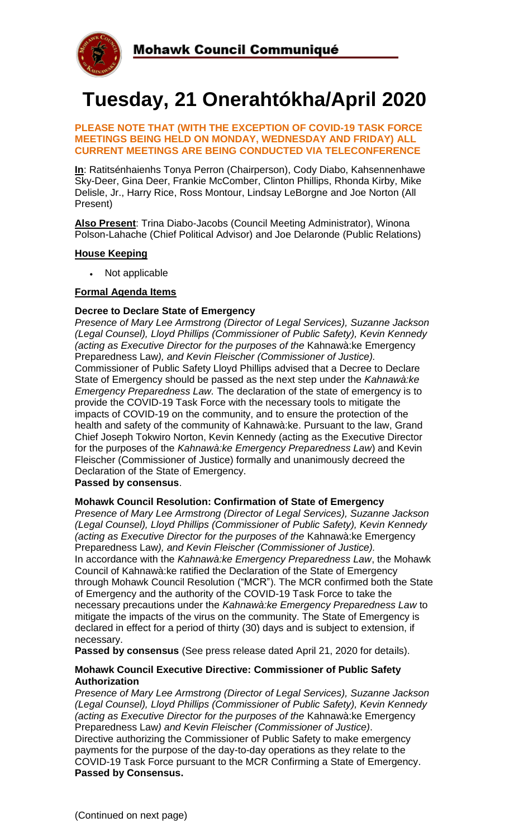

# **Tuesday, 21 Onerahtókha/April 2020**

#### **PLEASE NOTE THAT (WITH THE EXCEPTION OF COVID-19 TASK FORCE MEETINGS BEING HELD ON MONDAY, WEDNESDAY AND FRIDAY) ALL CURRENT MEETINGS ARE BEING CONDUCTED VIA TELECONFERENCE**

**In**: Ratitsénhaienhs Tonya Perron (Chairperson), Cody Diabo, Kahsennenhawe Sky-Deer, Gina Deer, Frankie McComber, Clinton Phillips, Rhonda Kirby, Mike Delisle, Jr., Harry Rice, Ross Montour, Lindsay LeBorgne and Joe Norton (All Present)

**Also Present**: Trina Diabo-Jacobs (Council Meeting Administrator), Winona Polson-Lahache (Chief Political Advisor) and Joe Delaronde (Public Relations)

### **House Keeping**

Not applicable

# **Formal Agenda Items**

#### **Decree to Declare State of Emergency**

*Presence of Mary Lee Armstrong (Director of Legal Services), Suzanne Jackson (Legal Counsel), Lloyd Phillips (Commissioner of Public Safety), Kevin Kennedy (acting as Executive Director for the purposes of the* Kahnawà:ke Emergency Preparedness Law*), and Kevin Fleischer (Commissioner of Justice).* Commissioner of Public Safety Lloyd Phillips advised that a Decree to Declare State of Emergency should be passed as the next step under the *Kahnawà:ke Emergency Preparedness Law.* The declaration of the state of emergency is to provide the COVID-19 Task Force with the necessary tools to mitigate the impacts of COVID-19 on the community, and to ensure the protection of the health and safety of the community of Kahnawà:ke. Pursuant to the law, Grand Chief Joseph Tokwiro Norton, Kevin Kennedy (acting as the Executive Director for the purposes of the *Kahnawà:ke Emergency Preparedness Law*) and Kevin Fleischer (Commissioner of Justice) formally and unanimously decreed the Declaration of the State of Emergency.

#### **Passed by consensus**.

# **Mohawk Council Resolution: Confirmation of State of Emergency**

*Presence of Mary Lee Armstrong (Director of Legal Services), Suzanne Jackson (Legal Counsel), Lloyd Phillips (Commissioner of Public Safety), Kevin Kennedy (acting as Executive Director for the purposes of the* Kahnawà:ke Emergency Preparedness Law*), and Kevin Fleischer (Commissioner of Justice).* In accordance with the *Kahnawà:ke Emergency Preparedness Law*, the Mohawk Council of Kahnawà:ke ratified the Declaration of the State of Emergency through Mohawk Council Resolution ("MCR"). The MCR confirmed both the State of Emergency and the authority of the COVID-19 Task Force to take the necessary precautions under the *Kahnawà:ke Emergency Preparedness Law* to mitigate the impacts of the virus on the community. The State of Emergency is declared in effect for a period of thirty (30) days and is subject to extension, if necessary.

**Passed by consensus** (See press release dated April 21, 2020 for details).

#### **Mohawk Council Executive Directive: Commissioner of Public Safety Authorization**

*Presence of Mary Lee Armstrong (Director of Legal Services), Suzanne Jackson (Legal Counsel), Lloyd Phillips (Commissioner of Public Safety), Kevin Kennedy (acting as Executive Director for the purposes of the* Kahnawà:ke Emergency Preparedness Law*) and Kevin Fleischer (Commissioner of Justice)*. Directive authorizing the Commissioner of Public Safety to make emergency payments for the purpose of the day-to-day operations as they relate to the COVID-19 Task Force pursuant to the MCR Confirming a State of Emergency. **Passed by Consensus.**